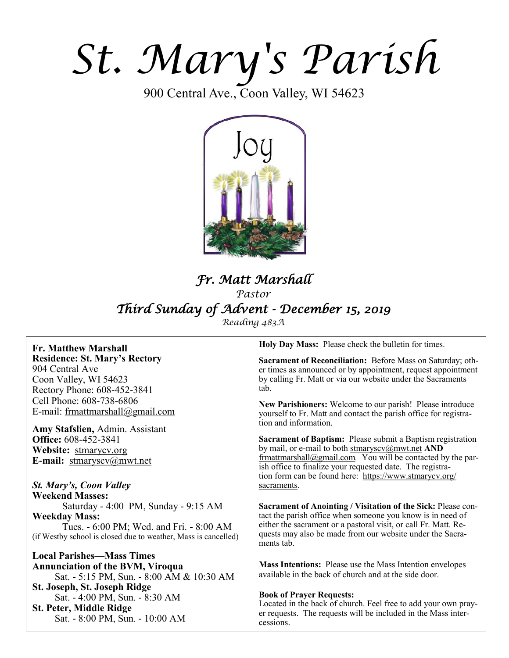# *St. Mary's Parish*

900 Central Ave., Coon Valley, WI 54623



# *Fr. Matt Marshall Pastor Third Sunday of Advent - December 15, 2019*

*Reading 483A*

**Fr. Matthew Marshall Residence: St. Mary's Rectory** 904 Central Ave Coon Valley, WI 54623 Rectory Phone: 608-452-3841 Cell Phone: 608-738-6806 E-mail: [frmattmarshall@gmail.com](mailto:frmattmarshall@gmail.com)

**Amy Stafslien,** Admin. Assistant **Office:** 608-452-3841 **Website:** <stmarycv.org> **E-mail:** [stmaryscv@mwt.net](mailto:stmaryscv@mwt.net)

### *St. Mary's, Coon Valley*

**Weekend Masses:** Saturday - 4:00 PM, Sunday - 9:15 AM **Weekday Mass:**  Tues. - 6:00 PM; Wed. and Fri. - 8:00 AM (if Westby school is closed due to weather, Mass is cancelled)

**Local Parishes—Mass Times Annunciation of the BVM, Viroqua** Sat. - 5:15 PM, Sun. - 8:00 AM & 10:30 AM **St. Joseph, St. Joseph Ridge** Sat. - 4:00 PM, Sun. - 8:30 AM **St. Peter, Middle Ridge** Sat. - 8:00 PM, Sun. - 10:00 AM

**Holy Day Mass:** Please check the bulletin for times.

**Sacrament of Reconciliation:** Before Mass on Saturday; other times as announced or by appointment, request appointment by calling Fr. Matt or via our website under the Sacraments tab.

**New Parishioners:** Welcome to our parish! Please introduce yourself to Fr. Matt and contact the parish office for registration and information.

**Sacrament of Baptism:** Please submit a Baptism registration by mail, or e-mail to both [stmaryscv@mwt.net](mailto:stmaryscv@mwt.net) **AND** [frmattmarshall@gmail.com](mailto:frmattmarshall@gmail.com)*.* You will be contacted by the parish office to finalize your requested date. The registration form can be found here: [https://www.stmarycv.org/](https://www.stmarycv.org/sacraments) [sacraments.](https://www.stmarycv.org/sacraments) 

**Sacrament of Anointing / Visitation of the Sick:** Please contact the parish office when someone you know is in need of either the sacrament or a pastoral visit, or call Fr. Matt. Requests may also be made from our website under the Sacraments tab.

**Mass Intentions:** Please use the Mass Intention envelopes available in the back of church and at the side door.

#### **Book of Prayer Requests:**

Located in the back of church. Feel free to add your own prayer requests. The requests will be included in the Mass intercessions.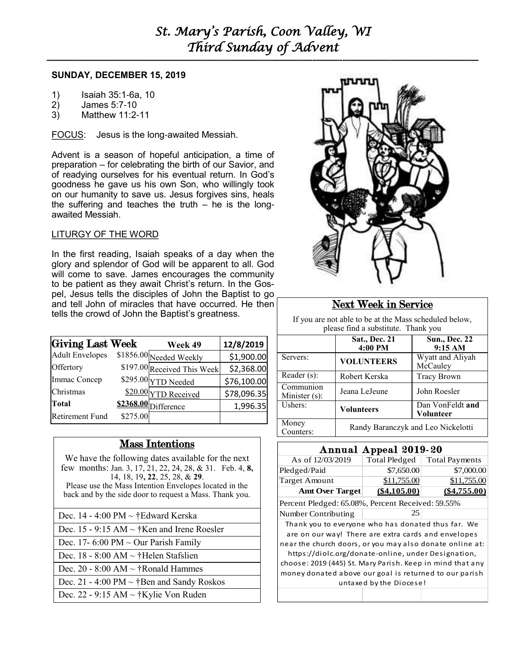# *St. Mary's Parish, Coon Valley, WI Third Sunday of Advent*

#### **SUNDAY, DECEMBER 15, 2019**

- 1) Isaiah 35:1-6a, 10<br>2) James 5:7-10
- 2) James 5:7-10
- 3) Matthew 11:2-11

FOCUS: Jesus is the long-awaited Messiah.

Advent is a season of hopeful anticipation, a time of preparation – for celebrating the birth of our Savior, and of readying ourselves for his eventual return. In God's goodness he gave us his own Son, who willingly took on our humanity to save us. Jesus forgives sins, heals the suffering and teaches the truth  $-$  he is the longawaited Messiah.

#### LITURGY OF THE WORD

In the first reading, Isaiah speaks of a day when the glory and splendor of God will be apparent to all. God will come to save. James encourages the community to be patient as they await Christ's return. In the Gospel, Jesus tells the disciples of John the Baptist to go and tell John of miracles that have occurred. He then tells the crowd of John the Baptist's greatness.

| <b>Giving Last Week</b> |          | Week 49                     | 12/8/2019   |
|-------------------------|----------|-----------------------------|-------------|
| <b>Adult Envelopes</b>  |          | \$1856.00 Needed Weekly     | \$1,900.00  |
| Offertory               |          | \$197.00 Received This Week | \$2,368.00  |
| Immac Concep            |          | \$295.00 YTD Needed         | \$76,100.00 |
| Christmas               |          | \$20.00 YTD Received        | \$78,096.35 |
| <b>Total</b>            |          | \$2368.00 Difference        | 1,996.35    |
| <b>Retirement Fund</b>  | \$275.00 |                             |             |

# Mass Intentions

We have the following dates available for the next few months: Jan. 3, 17, 21, 22, 24, 28, & 31. Feb. 4, **8,**  14, 18, 19**, 22**, 25, 28, & **29**. Please use the Mass Intention Envelopes located in the back and by the side door to request a Mass. Thank you.

- Dec. 14 4:00 PM ~ †Edward Kerska
- Dec. 15 9:15 AM ~ †Ken and Irene Roesler
- Dec. 17- 6:00 PM  $\sim$  Our Parish Family
- Dec. 18 8:00 AM ~ †Helen Stafslien
- Dec. 20 8:00 AM  $\sim$  †Ronald Hammes
- Dec. 21 4:00 PM  $\sim$  †Ben and Sandy Roskos

Dec. 22 - 9:15 AM ~ †Kylie Von Ruden



# Next Week in Service

If you are not able to be at the Mass scheduled below, please find a substitute. Thank you

|                            | Sat., Dec. 21<br>4:00 PM           | <b>Sun., Dec. 22</b><br>9:15 AM |  |  |
|----------------------------|------------------------------------|---------------------------------|--|--|
| Servers:                   | <b>VOLUNTEERS</b>                  | Wyatt and Aliyah<br>McCauley    |  |  |
| Reader (s):                | Robert Kerska                      | <b>Tracy Brown</b>              |  |  |
| Communion<br>Minister (s): | Jeana LeJeune                      | John Roesler                    |  |  |
| Ushers:                    | <b>Volunteers</b>                  | Dan VonFeldt and<br>Volunteer   |  |  |
| Money<br>Counters:         | Randy Baranczyk and Leo Nickelotti |                                 |  |  |

| Annual Appeal 2019-20                                     |               |                       |  |  |
|-----------------------------------------------------------|---------------|-----------------------|--|--|
| As of 12/03/2019                                          | Total Pledged | <b>Total Payments</b> |  |  |
| Pledged/Paid                                              | \$7,650.00    | \$7,000.00            |  |  |
| <b>Target Amount</b>                                      | \$11,755.00   | \$11,755.00           |  |  |
| <b>Amt Over Target</b>                                    | (S4.105.00)   | <u>(\$4.755.00</u>    |  |  |
| Percent Pledged: 65.08%, Percent Received: 59.55%         |               |                       |  |  |
| Number Contributing                                       | 25            |                       |  |  |
| Thank you to everyone who has donated thus far. We        |               |                       |  |  |
| are on our way! There are extra cards and envelopes       |               |                       |  |  |
| near the church doors, or you may also donate online at:  |               |                       |  |  |
| https://diolc.org/donate-online, under Designation,       |               |                       |  |  |
| choose: 2019 (445) St. Mary Parish. Keep in mind that any |               |                       |  |  |
| money donated above our goal is returned to our parish    |               |                       |  |  |
| untaxed by the Diocese!                                   |               |                       |  |  |
|                                                           |               |                       |  |  |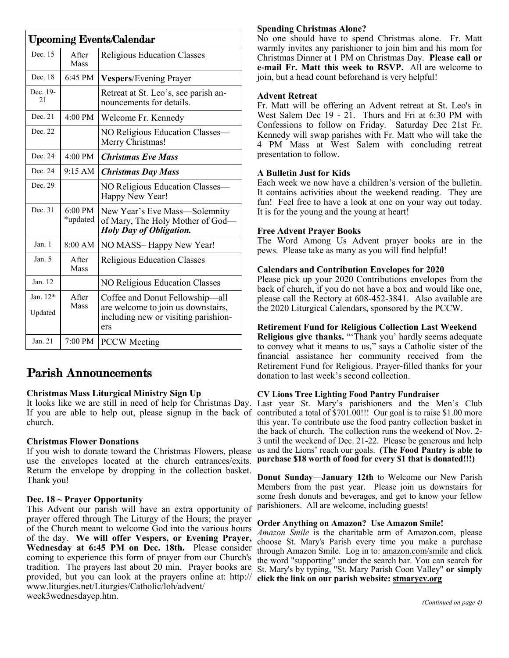| <b>Upcoming Events/Calendar</b> |                               |                                                                                                                      |  |
|---------------------------------|-------------------------------|----------------------------------------------------------------------------------------------------------------------|--|
| Dec. 15                         | After<br><b>Mass</b>          | <b>Religious Education Classes</b>                                                                                   |  |
| Dec. 18                         | 6:45 PM                       | <b>Vespers/Evening Prayer</b>                                                                                        |  |
| Dec. 19-<br>2.1                 |                               | Retreat at St. Leo's, see parish an-<br>nouncements for details.                                                     |  |
| Dec. 21                         | 4:00 PM                       | Welcome Fr. Kennedy                                                                                                  |  |
| Dec. 22                         |                               | NO Religious Education Classes-<br>Merry Christmas!                                                                  |  |
| Dec. 24                         | $4:00 \text{ PM}$             | <b>Christmas Eve Mass</b>                                                                                            |  |
| Dec. 24                         | 9:15 AM                       | <b>Christmas Day Mass</b>                                                                                            |  |
| Dec. 29                         |                               | NO Religious Education Classes-<br>Happy New Year!                                                                   |  |
| Dec. 31                         | $6:00 \text{ PM}$<br>*updated | New Year's Eve Mass—Solemnity<br>of Mary, The Holy Mother of God-<br><b>Holy Day of Obligation.</b>                  |  |
| Jan. 1                          | 8:00 AM                       | NO MASS-Happy New Year!                                                                                              |  |
| Jan. 5                          | A fter<br>Mass                | <b>Religious Education Classes</b>                                                                                   |  |
| Jan. 12                         |                               | <b>NO Religious Education Classes</b>                                                                                |  |
| Jan. 12*<br>Updated             | <b>A</b> fter<br>Mass         | Coffee and Donut Fellowship—all<br>are welcome to join us downstairs,<br>including new or visiting parishion-<br>ers |  |
| Jan. 21                         | 7:00 PM                       | <b>PCCW</b> Meeting                                                                                                  |  |

# Parish Announcements

#### **Christmas Mass Liturgical Ministry Sign Up**

It looks like we are still in need of help for Christmas Day. church.

#### **Christmas Flower Donations**

If you wish to donate toward the Christmas Flowers, please use the envelopes located at the church entrances/exits. Return the envelope by dropping in the collection basket. Thank you!

#### **Dec. 18 ~ Prayer Opportunity**

This Advent our parish will have an extra opportunity of prayer offered through The Liturgy of the Hours; the prayer of the Church meant to welcome God into the various hours of the day. **We will offer Vespers, or Evening Prayer, Wednesday at 6:45 PM on Dec. 18th.** Please consider coming to experience this form of prayer from our Church's tradition. The prayers last about 20 min. Prayer books are provided, but you can look at the prayers online at: [http://](http://www.liturgies.net/Liturgies/Catholic/loh/advent/week1wednesdayep.htm) [www.liturgies.net/Liturgies/Catholic/loh/advent/](http://www.liturgies.net/Liturgies/Catholic/loh/advent/week1wednesdayep.htm) [week3wednesdayep.htm.](http://www.liturgies.net/Liturgies/Catholic/loh/advent/week1wednesdayep.htm)

#### **Spending Christmas Alone?**

No one should have to spend Christmas alone. Fr. Matt warmly invites any parishioner to join him and his mom for Christmas Dinner at 1 PM on Christmas Day. **Please call or e-mail Fr. Matt this week to RSVP.** All are welcome to join, but a head count beforehand is very helpful!

#### **Advent Retreat**

Fr. Matt will be offering an Advent retreat at St. Leo's in West Salem Dec 19 - 21. Thurs and Fri at 6:30 PM with Confessions to follow on Friday. Saturday Dec 21st Fr. Kennedy will swap parishes with Fr. Matt who will take the 4 PM Mass at West Salem with concluding retreat presentation to follow.

#### **A Bulletin Just for Kids**

Each week we now have a children's version of the bulletin. It contains activities about the weekend reading. They are fun! Feel free to have a look at one on your way out today. It is for the young and the young at heart!

#### **Free Advent Prayer Books**

The Word Among Us Advent prayer books are in the pews. Please take as many as you will find helpful!

#### **Calendars and Contribution Envelopes for 2020**

Please pick up your 2020 Contributions envelopes from the back of church, if you do not have a box and would like one, please call the Rectory at 608-452-3841. Also available are the 2020 Liturgical Calendars, sponsored by the PCCW.

#### **Retirement Fund for Religious Collection Last Weekend**

**Religious give thanks.** "'Thank you' hardly seems adequate to convey what it means to us," says a Catholic sister of the financial assistance her community received from the Retirement Fund for Religious. Prayer-filled thanks for your donation to last week's second collection.

#### **CV Lions Tree Lighting Food Pantry Fundraiser**

If you are able to help out, please signup in the back of contributed a total of \$701.00!!! Our goal is to raise \$1.00 more Last year St. Mary's parishioners and the Men's Club this year. To contribute use the food pantry collection basket in the back of church. The collection runs the weekend of Nov. 2- 3 until the weekend of Dec. 21-22. Please be generous and help us and the Lions' reach our goals. **(The Food Pantry is able to purchase \$18 worth of food for every \$1 that is donated!!!)**

> **Donut Sunday—January 12th** to Welcome our New Parish Members from the past year. Please join us downstairs for some fresh donuts and beverages, and get to know your fellow parishioners. All are welcome, including guests!

#### **Order Anything on Amazon? Use Amazon Smile!**

*Amazon Smile* is the charitable arm of Amazon.com, please choose St. Mary's Parish every time you make a purchase through Amazon Smile. Log in to: [amazon.com/smile](http://amazon.com/smile) and click the word "supporting" under the search bar. You can search for St. Mary's by typing, "St. Mary Parish Coon Valley" **or simply click the link on our parish website: <stmarycv.org>**